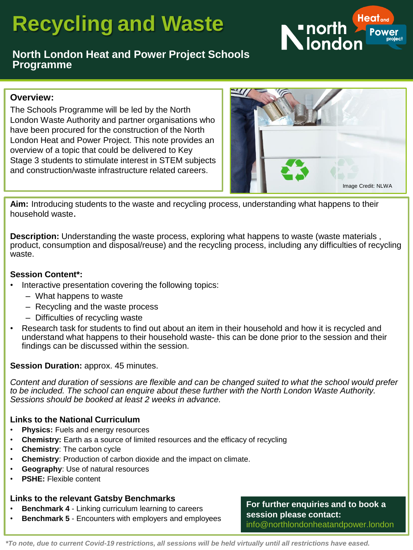# **Recycling and Waste**



# **North London Heat and Power Project Schools Programme**

#### **Overview:**

The Schools Programme will be led by the North London Waste Authority and partner organisations who have been procured for the construction of the North London Heat and Power Project. This note provides an overview of a topic that could be delivered to Key Stage 3 students to stimulate interest in STEM subjects and construction/waste infrastructure related careers.



**Aim:** Introducing students to the waste and recycling process, understanding what happens to their household waste.

**Description:** Understanding the waste process, exploring what happens to waste (waste materials , product, consumption and disposal/reuse) and the recycling process, including any difficulties of recycling waste.

#### **Session Content\*:**

- Interactive presentation covering the following topics:
	- What happens to waste
	- Recycling and the waste process
	- Difficulties of recycling waste
- Research task for students to find out about an item in their household and how it is recycled and understand what happens to their household waste- this can be done prior to the session and their findings can be discussed within the session.

#### **Session Duration:** approx. 45 minutes.

*Content and duration of sessions are flexible and can be changed suited to what the school would prefer to be included. The school can enquire about these further with the North London Waste Authority. Sessions should be booked at least 2 weeks in advance.* 

#### **Links to the National Curriculum**

- **Physics:** Fuels and energy resources
- **Chemistry:** Earth as a source of limited resources and the efficacy of recycling
- **Chemistry**: The carbon cycle
- **Chemistry**: Production of carbon dioxide and the impact on climate.
- **Geography**: Use of natural resources
- **PSHE:** Flexible content

# **Links to the relevant Gatsby Benchmarks**

- **Benchmark 4 Linking curriculum learning to careers**
- **Benchmark 5**  Encounters with employers and employees

**For further enquiries and to book a session please contact:**  info@northlondonheatandpower.london

*\*To note, due to current Covid-19 restrictions, all sessions will be held virtually until all restrictions have eased.*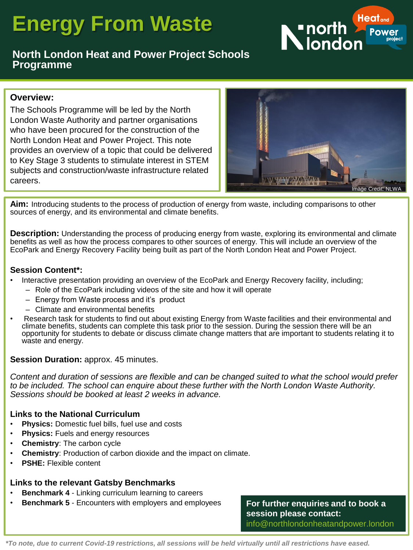# **Energy From Waste**



# **North London Heat and Power Project Schools Programme**

#### **Overview:**

The Schools Programme will be led by the North London Waste Authority and partner organisations who have been procured for the construction of the North London Heat and Power Project. This note provides an overview of a topic that could be delivered to Key Stage 3 students to stimulate interest in STEM subjects and construction/waste infrastructure related careers.



**Aim:** Introducing students to the process of production of energy from waste, including comparisons to other sources of energy, and its environmental and climate benefits.

**Description:** Understanding the process of producing energy from waste, exploring its environmental and climate benefits as well as how the process compares to other sources of energy. This will include an overview of the EcoPark and Energy Recovery Facility being built as part of the North London Heat and Power Project.

#### **Session Content\*:**

- Interactive presentation providing an overview of the EcoPark and Energy Recovery facility, including;
	- Role of the EcoPark including videos of the site and how it will operate
	- Energy from Waste process and it's product
	- Climate and environmental benefits
- Research task for students to find out about existing Energy from Waste facilities and their environmental and climate benefits, students can complete this task prior to the session. During the session there will be an opportunity for students to debate or discuss climate change matters that are important to students relating it to waste and energy.

#### **Session Duration:** approx. 45 minutes.

*Content and duration of sessions are flexible and can be changed suited to what the school would prefer to be included. The school can enquire about these further with the North London Waste Authority. Sessions should be booked at least 2 weeks in advance.* 

#### **Links to the National Curriculum**

- **Physics:** Domestic fuel bills, fuel use and costs
- **Physics:** Fuels and energy resources
- **Chemistry**: The carbon cycle
- **Chemistry**: Production of carbon dioxide and the impact on climate.
- **PSHE:** Flexible content

#### **Links to the relevant Gatsby Benchmarks**

- **Benchmark 4 Linking curriculum learning to careers**
- **Benchmark 5**  Encounters with employers and employees

**For further enquiries and to book a session please contact:**  info@northlondonheatandpower.london

*\*To note, due to current Covid-19 restrictions, all sessions will be held virtually until all restrictions have eased.*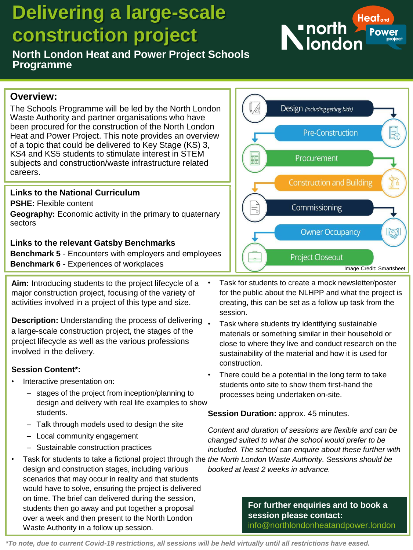# **Delivering a large-scale construction project**

**North London Heat and Power Project Schools Programme** 

# **Overview:**

The Schools Programme will be led by the North London Waste Authority and partner organisations who have been procured for the construction of the North London Heat and Power Project. This note provides an overview of a topic that could be delivered to Key Stage (KS) 3, KS4 and KS5 students to stimulate interest in STEM subjects and construction/waste infrastructure related careers.

# **Links to the National Curriculum**

**PSHE:** Flexible content

**Geography:** Economic activity in the primary to quaternary sectors

# **Links to the relevant Gatsby Benchmarks**

**Benchmark 5** - Encounters with employers and employees **Benchmark 6** - Experiences of workplaces

**Aim:** Introducing students to the project lifecycle of a major construction project, focusing of the variety of activities involved in a project of this type and size.

**Description:** Understanding the process of delivering. a large-scale construction project, the stages of the project lifecycle as well as the various professions involved in the delivery.

# **Session Content\*:**

- Interactive presentation on:
	- stages of the project from inception/planning to design and delivery with real life examples to show students.
	- Talk through models used to design the site
	- Local community engagement
	- Sustainable construction practices
- Task for students to take a fictional project through the *the North London Waste Authority. Sessions should be*  design and construction stages, including various scenarios that may occur in reality and that students would have to solve, ensuring the project is delivered on time. The brief can delivered during the session, students then go away and put together a proposal over a week and then present to the North London Waste Authority in a follow up session.



- Task where students try identifying sustainable materials or something similar in their household or close to where they live and conduct research on the sustainability of the material and how it is used for construction.
- There could be a potential in the long term to take students onto site to show them first-hand the processes being undertaken on-site.

**Session Duration:** approx. 45 minutes.

*Content and duration of sessions are flexible and can be changed suited to what the school would prefer to be included. The school can enquire about these further with booked at least 2 weeks in advance.* 

> **For further enquiries and to book a session please contact:**  info@northlondonheatandpower.london

*\*To note, due to current Covid-19 restrictions, all sessions will be held virtually until all restrictions have eased.* 



 $\sqrt{2}$ 

騙



录

Design (including getting bids)

Procurement

**Pre-Construction**